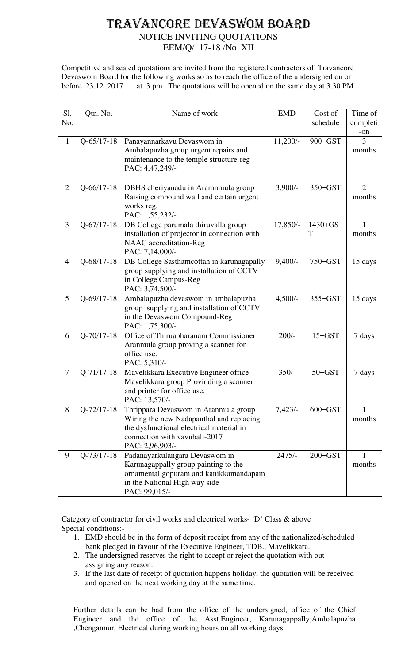# TRAVANCORE DEVASWOM BOARD

## NOTICE INVITING QUOTATIONS

EEM/Q/ 17-18 /No. XII

Competitive and sealed quotations are invited from the registered contractors of Travancore Devaswom Board for the following works so as to reach the office of the undersigned on or before 23.12 .2017 at 3 pm. The quotations will be opened on the same day at 3.30 PM

| Sl.            | Qtn. No.         | Name of work                                                                          | <b>EMD</b> | Cost of     | Time of        |
|----------------|------------------|---------------------------------------------------------------------------------------|------------|-------------|----------------|
| No.            |                  |                                                                                       |            | schedule    | completi       |
|                |                  |                                                                                       |            |             | -on<br>3       |
| $\mathbf{1}$   | $Q-65/17-18$     | Panayannarkavu Devaswom in<br>Ambalapuzha group urgent repairs and                    | $11,200/-$ | 900+GST     | months         |
|                |                  | maintenance to the temple structure-reg                                               |            |             |                |
|                |                  | PAC: 4,47,249/-                                                                       |            |             |                |
|                |                  |                                                                                       |            |             |                |
| $\overline{2}$ | $Q - 66/17 - 18$ | DBHS cheriyanadu in Aramnmula group                                                   | $3,900/-$  | $350+GST$   | $\overline{2}$ |
|                |                  | Raising compound wall and certain urgent<br>works reg.                                |            |             | months         |
|                |                  | PAC: 1,55,232/-                                                                       |            |             |                |
| $\overline{3}$ | $Q-67/17-18$     | DB College parumala thiruvalla group                                                  | 17,850/-   | $1430 + GS$ | $\mathbf{1}$   |
|                |                  | installation of projector in connection with                                          |            | T           | months         |
|                |                  | NAAC accreditation-Reg                                                                |            |             |                |
|                |                  | PAC: 7,14,000/-                                                                       |            | 750+GST     |                |
| $\overline{4}$ | $Q-68/17-18$     | DB College Sasthamcottah in karunagapally<br>group supplying and installation of CCTV | $9,400/-$  |             | 15 days        |
|                |                  | in College Campus-Reg                                                                 |            |             |                |
|                |                  | PAC: 3,74,500/-                                                                       |            |             |                |
| 5              | $Q - 69/17 - 18$ | Ambalapuzha devaswom in ambalapuzha                                                   | $4,500/-$  | 355+GST     | 15 days        |
|                |                  | group supplying and installation of CCTV                                              |            |             |                |
|                |                  | in the Devaswom Compound-Reg<br>PAC: 1,75,300/-                                       |            |             |                |
| 6              | $Q-70/17-18$     | Office of Thiruabharanam Commissioner                                                 | $200/-$    | $15+GST$    | 7 days         |
|                |                  | Aranmula group proving a scanner for                                                  |            |             |                |
|                |                  | office use.                                                                           |            |             |                |
|                |                  | PAC: 5,310/-                                                                          |            |             |                |
| $\tau$         | $Q-71/17-18$     | Mavelikkara Executive Engineer office                                                 | $350/-$    | $50+GST$    | 7 days         |
|                |                  | Mavelikkara group Provioding a scanner<br>and printer for office use.                 |            |             |                |
|                |                  | PAC: 13,570/-                                                                         |            |             |                |
| 8              | $Q - 72/17 - 18$ | Thrippara Devaswom in Aranmula group                                                  | 7,423/     | $600 + GST$ | 1              |
|                |                  | Wiring the new Nadapanthal and replacing                                              |            |             | months         |
|                |                  | the dysfunctional electrical material in                                              |            |             |                |
|                |                  | connection with vavubali-2017<br>PAC: 2,96,903/-                                      |            |             |                |
| 9              | $Q-73/17-18$     | Padanayarkulangara Devaswom in                                                        | $2475/-$   | $200 + GST$ |                |
|                |                  | Karunagappally group painting to the                                                  |            |             | months         |
|                |                  | ornamental gopuram and kanikkamandapam                                                |            |             |                |
|                |                  | in the National High way side                                                         |            |             |                |
|                |                  | PAC: 99,015/-                                                                         |            |             |                |

Category of contractor for civil works and electrical works- 'D' Class & above Special conditions:-

- 1. EMD should be in the form of deposit receipt from any of the nationalized/scheduled bank pledged in favour of the Executive Engineer, TDB., Mavelikkara.
- 2. The undersigned reserves the right to accept or reject the quotation with out assigning any reason.
- 3. If the last date of receipt of quotation happens holiday, the quotation will be received and opened on the next working day at the same time.

Further details can be had from the office of the undersigned, office of the Chief Engineer and the office of the Asst.Engineer, Karunagappally,Ambalapuzha ,Chengannur, Electrical during working hours on all working days.